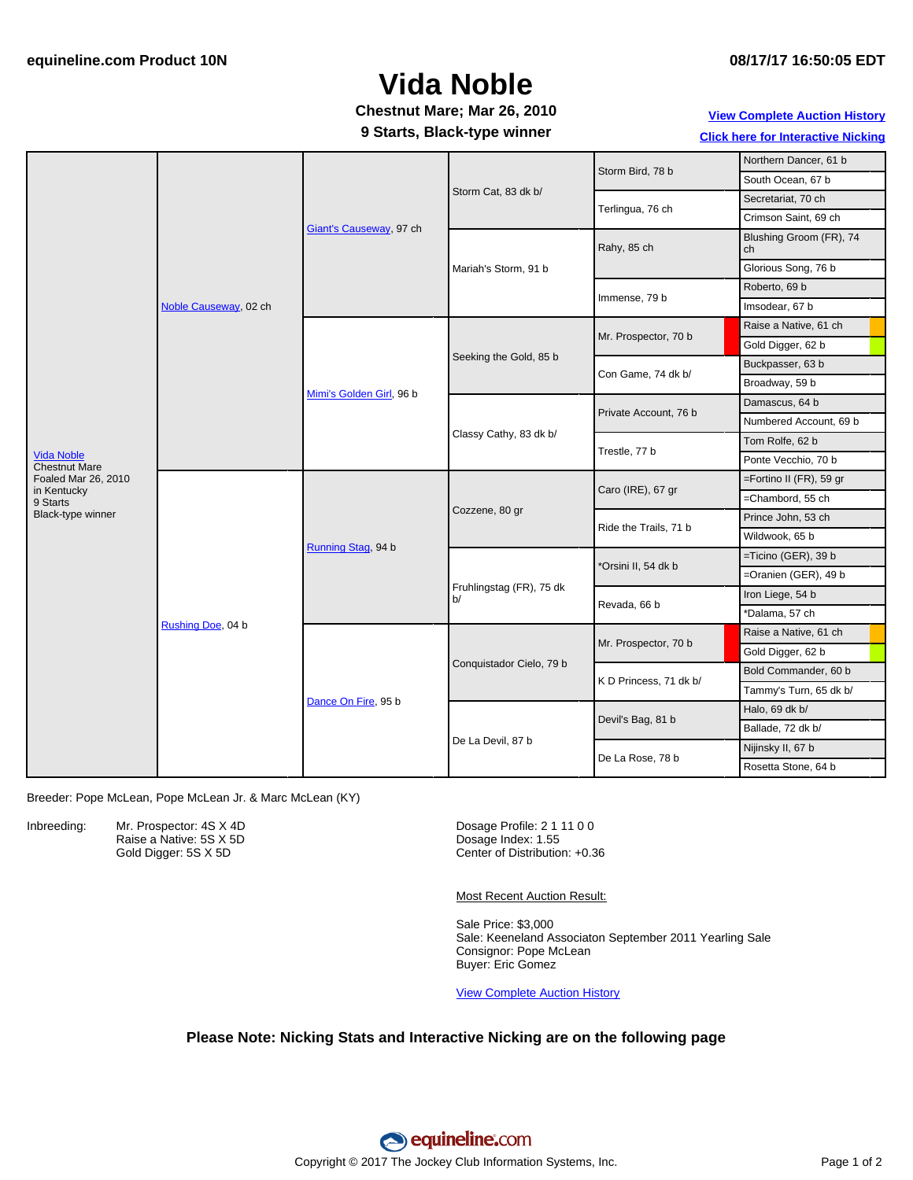### **08/17/17 16:50:05 EDT**

# **Vida Noble**

## **Chestnut Mare; Mar 26, 2010**

### **9 Starts, Black-type winner**

## **View [Complete](http://www.equineline.com/Free-Auction-Results.cfm?upsellReferenceNumber=&upsellHorseName=&upsellBreedType=&upsellHorseType=&upsellYOB=&lookupAuctionResults=true&tempHorseType=&tempSale=ALL&tempYear=ALL&search_type=HORSE&reference_number=8903487&horse_name=Fateful&horse_type=ALL&year=ALL&sale=ALL&consignor_id=&consignor_name=&buyer_id=&buyer_name=&price_range_low=&price_range_high=&availableConsignors=&availableBuyers=&fromFree5CrossPedigree=Y) Auction History**

**Click here for [Interactive](#page-1-0) Nicking**

|                                           | Noble Causeway, 02 ch | Giant's Causeway, 97 ch  | Storm Cat, 83 dk b/            | Storm Bird, 78 b       | Northern Dancer, 61 b         |
|-------------------------------------------|-----------------------|--------------------------|--------------------------------|------------------------|-------------------------------|
|                                           |                       |                          |                                |                        | South Ocean, 67 b             |
|                                           |                       |                          |                                | Terlingua, 76 ch       | Secretariat, 70 ch            |
|                                           |                       |                          |                                |                        | Crimson Saint, 69 ch          |
|                                           |                       |                          | Mariah's Storm, 91 b           | Rahy, 85 ch            | Blushing Groom (FR), 74<br>ch |
|                                           |                       |                          |                                |                        | Glorious Song, 76 b           |
|                                           |                       |                          |                                | Immense, 79 b          | Roberto, 69 b                 |
| <b>Vida Noble</b><br><b>Chestnut Mare</b> |                       |                          |                                |                        | Imsodear, 67 b                |
|                                           |                       | Mimi's Golden Girl, 96 b | Seeking the Gold, 85 b         | Mr. Prospector, 70 b   | Raise a Native, 61 ch         |
|                                           |                       |                          |                                |                        | Gold Digger, 62 b             |
|                                           |                       |                          |                                | Con Game, 74 dk b/     | Buckpasser, 63 b              |
|                                           |                       |                          |                                |                        | Broadway, 59 b                |
|                                           |                       |                          | Classy Cathy, 83 dk b/         | Private Account, 76 b  | Damascus, 64 b                |
|                                           |                       |                          |                                |                        | Numbered Account, 69 b        |
|                                           |                       |                          |                                | Trestle, 77 b          | Tom Rolfe, 62 b               |
|                                           |                       |                          |                                |                        | Ponte Vecchio, 70 b           |
| Foaled Mar 26, 2010<br>in Kentucky        | Rushing Doe, 04 b     | Running Stag, 94 b       | Cozzene, 80 gr                 | Caro (IRE), 67 gr      | =Fortino II (FR), 59 gr       |
| 9 Starts                                  |                       |                          |                                |                        | =Chambord, 55 ch              |
| Black-type winner                         |                       |                          |                                | Ride the Trails, 71 b  | Prince John, 53 ch            |
|                                           |                       |                          |                                |                        | Wildwook, 65 b                |
|                                           |                       |                          | Fruhlingstag (FR), 75 dk<br>b/ | *Orsini II, 54 dk b    | =Ticino (GER), 39 b           |
|                                           |                       |                          |                                |                        | =Oranien (GER), 49 b          |
|                                           |                       |                          |                                | Revada, 66 b           | Iron Liege, 54 b              |
|                                           |                       |                          |                                |                        | *Dalama, 57 ch                |
|                                           |                       | Dance On Fire, 95 b      | Conquistador Cielo, 79 b       | Mr. Prospector, 70 b   | Raise a Native, 61 ch         |
|                                           |                       |                          |                                |                        | Gold Digger, 62 b             |
|                                           |                       |                          |                                | K D Princess, 71 dk b/ | Bold Commander, 60 b          |
|                                           |                       |                          |                                |                        | Tammy's Turn, 65 dk b/        |
|                                           |                       |                          | De La Devil, 87 b              | Devil's Bag, 81 b      | Halo, 69 dk b/                |
|                                           |                       |                          |                                |                        | Ballade, 72 dk b/             |
|                                           |                       |                          |                                | De La Rose, 78 b       | Nijinsky II, 67 b             |
|                                           |                       |                          |                                |                        | Rosetta Stone, 64 b           |

Breeder: Pope McLean, Pope McLean Jr. & Marc McLean (KY)

Inbreeding: Mr. Prospector: 4S X 4D Raise a Native: 5S X 5D Gold Digger: 5S X 5D

Dosage Profile: 2 1 11 0 0 Dosage Index: 1.55 Center of Distribution: +0.36

Most Recent Auction Result:

Sale Price: \$3,000 Sale: Keeneland Associaton September 2011 Yearling Sale Consignor: Pope McLean Buyer: Eric Gomez

View [Complete](http://www.equineline.com/Free-Auction-Results.cfm?upsellReferenceNumber=&upsellHorseName=&upsellBreedType=&upsellHorseType=&upsellYOB=&lookupAuctionResults=true&tempHorseType=&tempSale=ALL&tempYear=ALL&search_type=HORSE&reference_number=8903487&horse_name=Fateful&horse_type=ALL&year=ALL&sale=ALL&consignor_id=&consignor_name=&buyer_id=&buyer_name=&price_range_low=&price_range_high=&availableConsignors=&availableBuyers=&fromFree5CrossPedigree=Y) Auction History

### **Please Note: Nicking Stats and Interactive Nicking are on the following page**